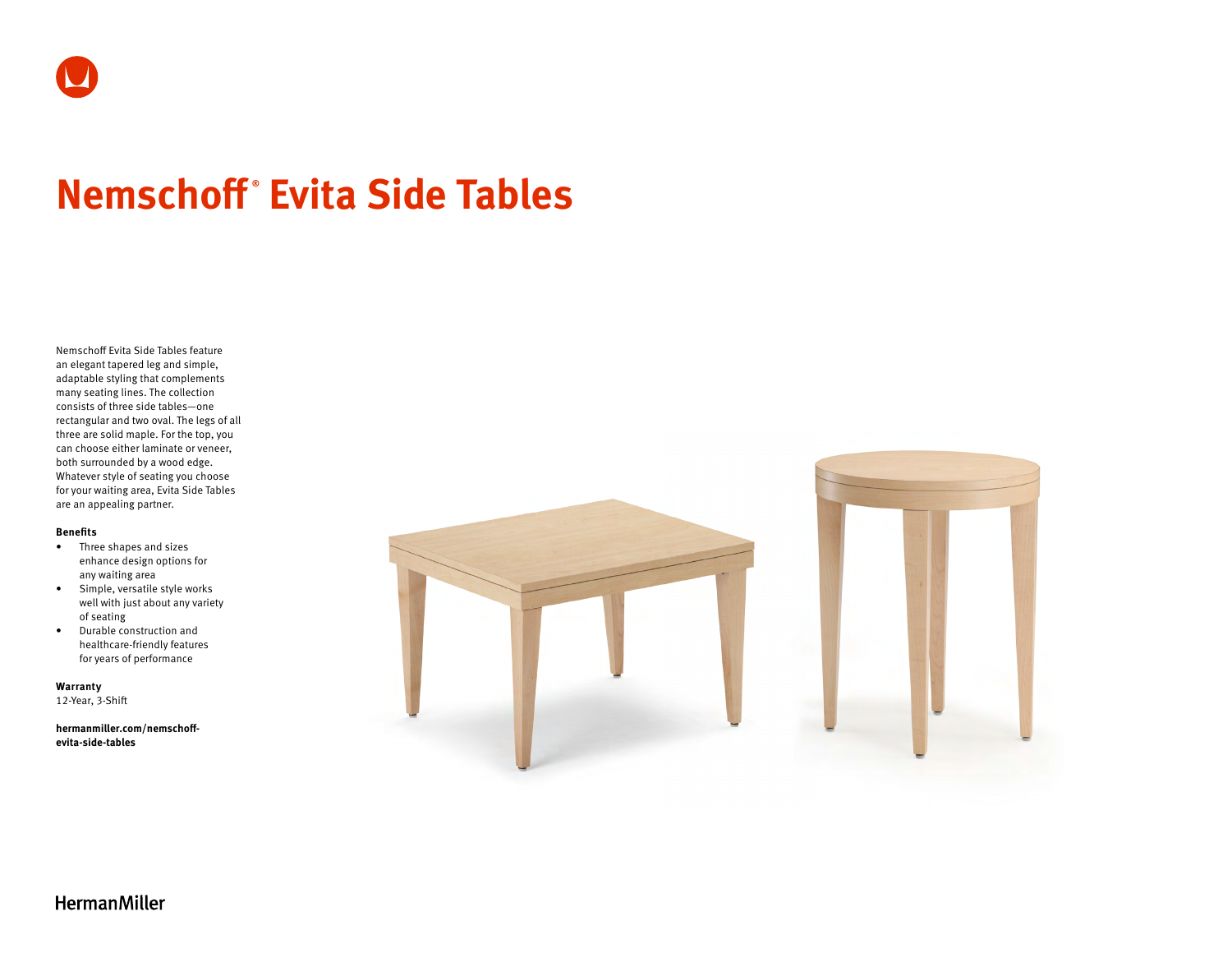# **Nemschoff ® Evita Side Tables**

Nemschoff Evita Side Tables feature an elegant tapered leg and simple, adaptable styling that complements many seating lines. The collection consists of three side tables—one rectangular and two oval. The legs of all three are solid maple. For the top, you can choose either laminate or veneer, both surrounded by a wood edge. Whatever style of seating you choose for your waiting area, Evita Side Tables are an appealing partner.

### **Benefits**

- Three shapes and sizes enhance design options for any waiting area
- Simple, versatile style works well with just about any variety of seating
- Durable construction and healthcare-friendly features for years of performance

**Warranty**  12-Year, 3-Shift

**[hermanmiller.com/nemschoff](http://hermanmiller.com/nemschoff-evita-side-tables)[evita-side-tables](http://hermanmiller.com/nemschoff-evita-side-tables)**